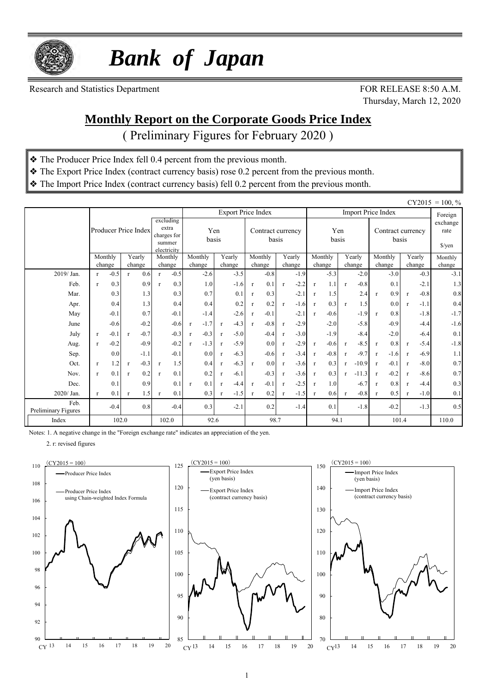

 *Bank of Japan*

Research and Statistics Department FOR RELEASE 8:50 A.M.

Thursday, March 12, 2020

### **Monthly Report on the Corporate Goods Price Index**

( Preliminary Figures for February 2020 )

- ❖ The Producer Price Index fell 0.4 percent from the previous month.
- ❖ The Export Price Index (contract currency basis) rose 0.2 percent from the previous month.
- ❖ The Import Price Index (contract currency basis) fell 0.2 percent from the previous month.

|                             |              |                  |              |                      |              |                                                            |              |                  |              |                           |              |                            |                  |        |              |                  |              |                           |              |                            |                  |        | $CY2015 = 100, %$          |
|-----------------------------|--------------|------------------|--------------|----------------------|--------------|------------------------------------------------------------|--------------|------------------|--------------|---------------------------|--------------|----------------------------|------------------|--------|--------------|------------------|--------------|---------------------------|--------------|----------------------------|------------------|--------|----------------------------|
|                             |              |                  |              |                      |              |                                                            |              |                  |              | <b>Export Price Index</b> |              |                            |                  |        |              |                  |              | <b>Import Price Index</b> |              |                            |                  |        | Foreign                    |
|                             |              |                  |              | Producer Price Index |              | excluding<br>extra<br>charges for<br>summer<br>electricity |              | Yen<br>basis     |              |                           |              | Contract currency<br>basis |                  |        |              | basis            | Yen          |                           |              | Contract currency<br>basis |                  |        | exchange<br>rate<br>\$/yen |
|                             |              | Monthly          |              | Yearly               |              | Monthly                                                    |              | Monthly          |              | Yearly                    |              | Monthly                    | Yearly<br>change |        |              | Monthly          |              | Yearly                    |              | Monthly                    | Yearly<br>change |        | Monthly                    |
| 2019/Jan.                   | $\mathbf{r}$ | change<br>$-0.5$ | r            | change<br>0.6        | r            | change<br>$-0.5$                                           |              | change<br>$-2.6$ |              | change<br>$-3.5$          |              | change<br>$-0.8$           |                  | $-1.9$ |              | change<br>$-5.3$ |              | change<br>$-2.0$          |              | change<br>$-3.0$           |                  | $-0.3$ | change<br>$-3.1$           |
| Feb.                        | $\mathbf{r}$ | 0.3              |              | 0.9                  | $\mathbf{r}$ | 0.3                                                        |              | 1.0              |              | $-1.6$                    | $\mathbf{r}$ | 0.1                        | $\mathbf{r}$     | $-2.2$ | $\mathbf{r}$ | 1.1              | $\mathbf{r}$ | $-0.8$                    |              | 0.1                        |                  | $-2.1$ | 1.3                        |
| Mar.                        |              | 0.3              |              | 1.3                  |              | 0.3                                                        |              | 0.7              |              | 0.1                       | $\mathbf{r}$ | 0.3                        |                  | $-2.1$ | r            | 1.5              |              | 2.4                       | r            | 0.9                        | $\mathbf{r}$     | $-0.8$ | 0.8                        |
| Apr.                        |              | 0.4              |              | 1.3                  |              | 0.4                                                        |              | 0.4              |              | 0.2                       | $\mathbf{r}$ | 0.2                        | $\mathbf{r}$     | $-1.6$ | $\mathbf{r}$ | 0.3              | $\mathbf{r}$ | 1.5                       |              | 0.0                        | $\mathbf{r}$     | $-1.1$ | 0.4                        |
| May                         |              | $-0.1$           |              | 0.7                  |              | $-0.1$                                                     |              | $-1.4$           |              | $-2.6$                    | $\mathbf{r}$ | $-0.1$                     |                  | $-2.1$ | $\mathbf{r}$ | $-0.6$           |              | $-1.9$                    | $\mathbf{r}$ | 0.8                        |                  | $-1.8$ | $-1.7$                     |
| June                        |              | $-0.6$           |              | $-0.2$               |              | $-0.6$                                                     | $\mathbf{r}$ | $-1.7$           | $\mathbf{r}$ | $-4.3$                    | $\mathbf{r}$ | $-0.8$                     | $\mathbf{r}$     | $-2.9$ |              | $-2.0$           |              | $-5.8$                    |              | $-0.9$                     |                  | $-4.4$ | $-1.6$                     |
| July                        | $\mathbf{r}$ | $-0.1$           | r            | $-0.7$               |              | $-0.3$                                                     | $\mathbf{r}$ | $-0.3$           | $\mathbf{r}$ | $-5.0$                    |              | $-0.4$                     | $\mathbf{r}$     | $-3.0$ |              | $-1.9$           |              | $-8.4$                    |              | $-2.0$                     |                  | $-6.4$ | 0.1                        |
| Aug.                        | $\mathbf{r}$ | $-0.2$           |              | $-0.9$               |              | $-0.2$                                                     | $\mathbf{r}$ | $-1.3$           | $\mathbf{r}$ | $-5.9$                    |              | 0.0                        | $\mathbf{r}$     | $-2.9$ | $\mathbf{r}$ | $-0.6$           | $\mathbf{r}$ | $-8.5$                    | $\mathbf{r}$ | 0.8                        | $\mathbf{r}$     | $-5.4$ | $-1.8$                     |
| Sep.                        |              | 0.0              |              | $-1.1$               |              | $-0.1$                                                     |              | 0.0              | $\mathbf{r}$ | $-6.3$                    |              | $-0.6$                     | $\mathbf{r}$     | $-3.4$ | $\mathbf{r}$ | $-0.8$           | $\mathbf{r}$ | $-9.7$                    | $\mathbf{r}$ | $-1.6$                     | $\mathbf{r}$     | $-6.9$ | 1.1                        |
| Oct.                        | $\mathbf{r}$ | 1.2              | $\mathbf{r}$ | $-0.3$               | $\mathbf{r}$ | 1.5                                                        |              | 0.4              | $\mathbf{r}$ | $-6.3$                    | $\mathbf{r}$ | 0.0                        | $\mathbf{r}$     | $-3.6$ | $\mathbf{r}$ | 0.3              | r            | $-10.9$                   | $\mathbf{r}$ | $-0.1$                     | $\mathbf{r}$     | $-8.0$ | 0.7                        |
| Nov.                        | $\mathbf{r}$ | 0.1              | $\mathbf{r}$ | 0.2                  | $\mathbf{r}$ | 0.1                                                        |              | 0.2              | $\mathbf{r}$ | $-6.1$                    |              | $-0.3$                     | $\mathbf{r}$     | $-3.6$ | $\mathbf{r}$ | 0.3              | $\mathbf{r}$ | $-11.3$                   | $\mathbf{r}$ | $-0.2$                     | $\mathbf{r}$     | $-8.6$ | 0.7                        |
| Dec.                        |              | 0.1              |              | 0.9                  |              | 0.1                                                        | $\mathbf{r}$ | 0.1              | $\mathbf{r}$ | $-4.4$                    | $\mathbf{r}$ | $-0.1$                     | $\mathbf{r}$     | $-2.5$ | $\mathbf{r}$ | 1.0              |              | $-6.7$                    | $\mathbf{r}$ | 0.8                        | $\mathbf{r}$     | $-4.4$ | 0.3                        |
| 2020/ Jan.                  | $\mathbf{r}$ | 0.1              | $\mathbf{r}$ | 1.5                  | $\mathbf{r}$ | 0.1                                                        |              | 0.3              | $\mathbf{r}$ | $-1.5$                    | $\mathbf{r}$ | 0.2                        | $\mathbf{r}$     | $-1.5$ | $\mathbf{r}$ | 0.6              | $\mathbf{r}$ | $-0.8$                    | $\mathbf{r}$ | 0.5                        | $\mathbf{r}$     | $-1.0$ | 0.1                        |
| Feb.<br>Preliminary Figures |              | $-0.4$           |              | 0.8                  |              | $-0.4$                                                     |              | 0.3              |              | $-2.1$                    |              | 0.2                        |                  | $-1.4$ |              | 0.1              |              | $-1.8$                    |              | $-0.2$                     |                  | $-1.3$ | 0.5                        |
| Index                       |              | 102.0            |              |                      |              | 102.0                                                      | 92.6         |                  |              | 98.7                      |              |                            | 94.1             |        |              |                  | 101.4        |                           |              | 110.0                      |                  |        |                            |

Notes: 1. A negative change in the "Foreign exchange rate" indicates an appreciation of the yen.

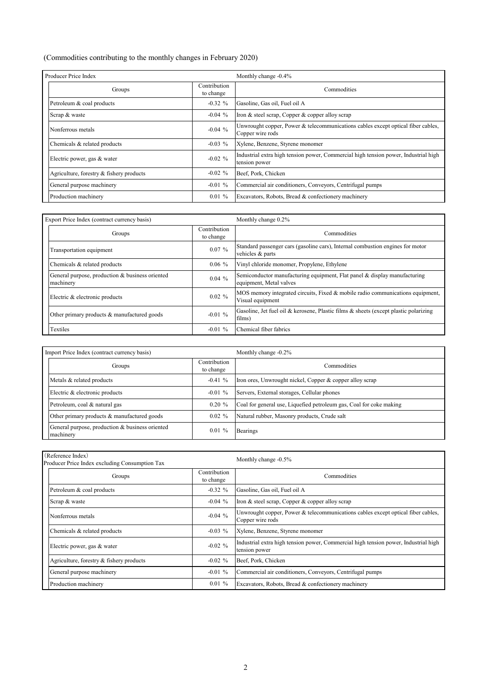#### (Commodities contributing to the monthly changes in February 2020)

| Producer Price Index                     |                           | Monthly change -0.4%                                                                                 |
|------------------------------------------|---------------------------|------------------------------------------------------------------------------------------------------|
| Groups                                   | Contribution<br>to change | Commodities                                                                                          |
| Petroleum & coal products                | $-0.32 \%$                | Gasoline, Gas oil, Fuel oil A                                                                        |
| Scrap & waste                            | $-0.04\%$                 | Iron & steel scrap, Copper & copper alloy scrap                                                      |
| Nonferrous metals                        | $-0.04%$                  | Unwrought copper, Power & telecommunications cables except optical fiber cables,<br>Copper wire rods |
| Chemicals & related products             | $-0.03\%$                 | Xylene, Benzene, Styrene monomer                                                                     |
| Electric power, gas & water              | $-0.02 \%$                | Industrial extra high tension power, Commercial high tension power, Industrial high<br>tension power |
| Agriculture, forestry & fishery products | $-0.02 \%$                | Beef, Pork, Chicken                                                                                  |
| General purpose machinery                | $-0.01 \%$                | Commercial air conditioners, Conveyors, Centrifugal pumps                                            |
| Production machinery                     | $0.01 \%$                 | Excavators, Robots, Bread & confectionery machinery                                                  |

| Export Price Index (contract currency basis)                 |                           | Monthly change 0.2%                                                                                  |
|--------------------------------------------------------------|---------------------------|------------------------------------------------------------------------------------------------------|
| Groups                                                       | Contribution<br>to change | Commodities                                                                                          |
| Transportation equipment                                     | 0.07%                     | Standard passenger cars (gasoline cars), Internal combustion engines for motor<br>vehicles & parts   |
| Chemicals & related products                                 | $0.06\%$                  | Vinyl chloride monomer, Propylene, Ethylene                                                          |
| General purpose, production & business oriented<br>machinery | $0.04\%$                  | Semiconductor manufacturing equipment, Flat panel & display manufacturing<br>equipment, Metal valves |
| Electric & electronic products                               | $0.02 \%$                 | MOS memory integrated circuits, Fixed & mobile radio communications equipment,<br>Visual equipment   |
| Other primary products & manufactured goods                  | $-0.01%$                  | Gasoline, Jet fuel oil & kerosene, Plastic films & sheets (except plastic polarizing<br>films)       |
| Textiles                                                     | $-0.01\%$                 | Chemical fiber fabrics                                                                               |

| Import Price Index (contract currency basis)                 |                           | Monthly change -0.2%                                                |
|--------------------------------------------------------------|---------------------------|---------------------------------------------------------------------|
| Groups                                                       | Contribution<br>to change | Commodities                                                         |
| Metals & related products                                    | $-0.41%$                  | Iron ores, Unwrought nickel, Copper & copper alloy scrap            |
| Electric & electronic products                               | $-0.01 \%$                | Servers, External storages, Cellular phones                         |
| Petroleum, coal & natural gas                                | $0.20 \%$                 | Coal for general use, Liquefied petroleum gas, Coal for coke making |
| Other primary products & manufactured goods                  | $0.02 \%$                 | Natural rubber, Masonry products, Crude salt                        |
| General purpose, production & business oriented<br>machinery | $0.01\%$                  | <b>Bearings</b>                                                     |

| (Reference Index)<br>Producer Price Index excluding Consumption Tax |                           | Monthly change -0.5%                                                                                 |  |  |  |  |  |  |
|---------------------------------------------------------------------|---------------------------|------------------------------------------------------------------------------------------------------|--|--|--|--|--|--|
| Groups                                                              | Contribution<br>to change | Commodities                                                                                          |  |  |  |  |  |  |
| Petroleum & coal products                                           | $-0.32 \%$                | Gasoline, Gas oil, Fuel oil A                                                                        |  |  |  |  |  |  |
| Scrap & waste                                                       | $-0.04\%$                 | Iron & steel scrap, Copper & copper alloy scrap                                                      |  |  |  |  |  |  |
| Nonferrous metals                                                   | $-0.04%$                  | Unwrought copper, Power & telecommunications cables except optical fiber cables,<br>Copper wire rods |  |  |  |  |  |  |
| Chemicals & related products                                        | $-0.03\%$                 | Xylene, Benzene, Styrene monomer                                                                     |  |  |  |  |  |  |
| Electric power, gas & water                                         | $-0.02 \%$                | Industrial extra high tension power, Commercial high tension power, Industrial high<br>tension power |  |  |  |  |  |  |
| Agriculture, forestry & fishery products                            | $-0.02 \%$                | Beef, Pork, Chicken                                                                                  |  |  |  |  |  |  |
| General purpose machinery                                           | $-0.01 \%$                | Commercial air conditioners, Conveyors, Centrifugal pumps                                            |  |  |  |  |  |  |
| Production machinery                                                | $0.01 \%$                 | Excavators, Robots, Bread & confectionery machinery                                                  |  |  |  |  |  |  |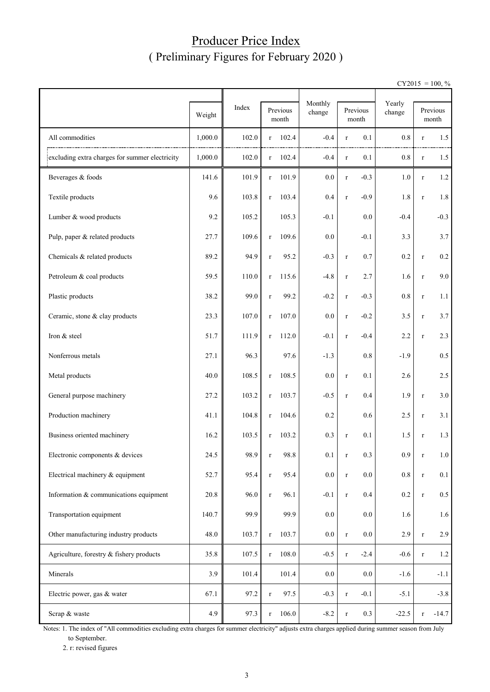### Producer Price Index ( Preliminary Figures for February 2020 )

 $CY2015 = 100, \%$ 

|                                                |         |       |              |                   | Monthly |             |                   |                  |             |                   |  |
|------------------------------------------------|---------|-------|--------------|-------------------|---------|-------------|-------------------|------------------|-------------|-------------------|--|
|                                                | Weight  | Index |              | Previous<br>month | change  |             | Previous<br>month | Yearly<br>change |             | Previous<br>month |  |
| All commodities                                | 1,000.0 | 102.0 | r            | 102.4             | $-0.4$  | $\bf r$     | 0.1               | 0.8              | $\bf r$     | 1.5               |  |
| excluding extra charges for summer electricity | 1,000.0 | 102.0 | r            | 102.4             | $-0.4$  | $\bf r$     | 0.1               | $0.8\,$          | $\bf r$     | 1.5               |  |
| Beverages & foods                              | 141.6   | 101.9 | $\bf r$      | 101.9             | 0.0     | $\bf r$     | $-0.3$            | 1.0              | $\bf r$     | 1.2               |  |
| Textile products                               | 9.6     | 103.8 | $\bf r$      | 103.4             | 0.4     | $\bf r$     | $-0.9$            | 1.8              | $\bf r$     | 1.8               |  |
| Lumber & wood products                         | 9.2     | 105.2 |              | 105.3             | $-0.1$  |             | 0.0               | $-0.4$           |             | $-0.3$            |  |
| Pulp, paper & related products                 | 27.7    | 109.6 | $\mathbf r$  | 109.6             | 0.0     |             | $-0.1$            | 3.3              |             | 3.7               |  |
| Chemicals & related products                   | 89.2    | 94.9  | $\bf r$      | 95.2              | $-0.3$  | $\bf r$     | 0.7               | 0.2              | $\bf r$     | $0.2\,$           |  |
| Petroleum & coal products                      | 59.5    | 110.0 | $\bf r$      | 115.6             | $-4.8$  | $\bf r$     | 2.7               | 1.6              | $\bf r$     | 9.0               |  |
| Plastic products                               | 38.2    | 99.0  | $\bf r$      | 99.2              | $-0.2$  | $\bf r$     | $-0.3$            | 0.8              | $\bf r$     | 1.1               |  |
| Ceramic, stone & clay products                 | 23.3    | 107.0 | $\bf r$      | 107.0             | 0.0     | $\bf r$     | $-0.2$            | 3.5              | $\bf r$     | 3.7               |  |
| Iron & steel                                   | 51.7    | 111.9 | $\bf r$      | 112.0             | $-0.1$  | $\bf r$     | $-0.4$            | 2.2              | $\bf r$     | 2.3               |  |
| Nonferrous metals                              | 27.1    | 96.3  |              | 97.6              | $-1.3$  |             | 0.8               | $-1.9$           |             | $0.5\,$           |  |
| Metal products                                 | 40.0    | 108.5 | $\bf r$      | 108.5             | 0.0     | $\bf r$     | 0.1               | 2.6              |             | 2.5               |  |
| General purpose machinery                      | 27.2    | 103.2 | $\bf r$      | 103.7             | $-0.5$  | $\bf r$     | 0.4               | 1.9              | $\bf r$     | 3.0               |  |
| Production machinery                           | 41.1    | 104.8 | $\mathbf{r}$ | 104.6             | 0.2     |             | 0.6               | 2.5              | $\bf r$     | 3.1               |  |
| Business oriented machinery                    | 16.2    | 103.5 | $\bf r$      | 103.2             | 0.3     | $\bf r$     | 0.1               | 1.5              | $\bf r$     | 1.3               |  |
| Electronic components & devices                | 24.5    | 98.9  |              | 98.8              | 0.1     |             | $0.3\,$           | $0.9\,$          |             | 1.0               |  |
| Electrical machinery & equipment               | 52.7    | 95.4  | $\bf r$      | 95.4              | 0.0     | $\mathbf r$ | 0.0               | 0.8              | $\mathbf r$ | 0.1               |  |
| Information & communications equipment         | 20.8    | 96.0  | $\bf r$      | 96.1              | $-0.1$  | $\bf r$     | 0.4               | 0.2              | $\bf r$     | $0.5\,$           |  |
| Transportation equipment                       | 140.7   | 99.9  |              | 99.9              | $0.0\,$ |             | $0.0\,$           | 1.6              |             | 1.6               |  |
| Other manufacturing industry products          | 48.0    | 103.7 | $\bf r$      | 103.7             | $0.0\,$ | $\bf r$     | $0.0\,$           | 2.9              | $\bf r$     | 2.9               |  |
| Agriculture, forestry & fishery products       | 35.8    | 107.5 | $\bf r$      | 108.0             | $-0.5$  | $\bf r$     | $-2.4$            | $-0.6$           | $\mathbf r$ | 1.2               |  |
| Minerals                                       | 3.9     | 101.4 |              | 101.4             | 0.0     |             | $0.0\,$           | $-1.6$           |             | $-1.1$            |  |
| Electric power, gas & water                    | 67.1    | 97.2  | $\bf r$      | 97.5              | $-0.3$  | $\bf r$     | $-0.1$            | $-5.1$           |             | $-3.8$            |  |
| Scrap & waste                                  | 4.9     | 97.3  | $\bf r$      | 106.0             | $-8.2$  | $\bf r$     | 0.3               | $-22.5$          | $\mathbf r$ | $-14.7$           |  |

Notes: 1. The index of "All commodities excluding extra charges for summer electricity" adjusts extra charges applied during summer season from July to September.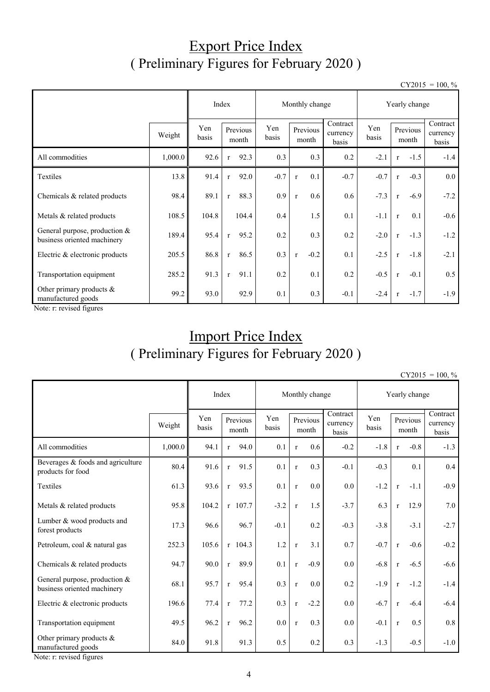# Export Price Index ( Preliminary Figures for February 2020 )

 $CY2015 = 100, \%$ 

|                                                                | Index<br>Monthly change |              |              |                   |              |              | Yearly change     |                               |              |              |                   |                               |
|----------------------------------------------------------------|-------------------------|--------------|--------------|-------------------|--------------|--------------|-------------------|-------------------------------|--------------|--------------|-------------------|-------------------------------|
|                                                                | Weight                  | Yen<br>basis |              | Previous<br>month | Yen<br>basis |              | Previous<br>month | Contract<br>currency<br>basis | Yen<br>basis |              | Previous<br>month | Contract<br>currency<br>basis |
| All commodities                                                | 1,000.0                 | 92.6         | $\mathbf r$  | 92.3              | 0.3          |              | 0.3               | 0.2                           | $-2.1$       | $\mathbf{r}$ | $-1.5$            | $-1.4$                        |
| Textiles                                                       | 13.8                    | 91.4         | $\mathbf{r}$ | 92.0              | $-0.7$       | $\mathbf{r}$ | 0.1               | $-0.7$                        | $-0.7$       | $\mathbf{r}$ | $-0.3$            | $0.0\,$                       |
| Chemicals & related products                                   | 98.4                    | 89.1         | $\mathbf{r}$ | 88.3              | 0.9          | $\mathbf{r}$ | 0.6               | 0.6                           | $-7.3$       | $\mathbf{r}$ | $-6.9$            | $-7.2$                        |
| Metals & related products                                      | 108.5                   | 104.8        |              | 104.4             | 0.4          |              | 1.5               | 0.1                           | $-1.1$       | $\mathbf{r}$ | 0.1               | $-0.6$                        |
| General purpose, production $&$<br>business oriented machinery | 189.4                   | 95.4         | $\mathbf{r}$ | 95.2              | 0.2          |              | 0.3               | 0.2                           | $-2.0$       | $\mathbf{r}$ | $-1.3$            | $-1.2$                        |
| Electric & electronic products                                 | 205.5                   | 86.8         | $\mathbf{r}$ | 86.5              | 0.3          | $\mathbf r$  | $-0.2$            | 0.1                           | $-2.5$       | $\mathbf{r}$ | $-1.8$            | $-2.1$                        |
| Transportation equipment                                       | 285.2                   | 91.3         | $\mathbf{r}$ | 91.1              | 0.2          |              | 0.1               | 0.2                           | $-0.5$       | $\mathbf{r}$ | $-0.1$            | 0.5                           |
| Other primary products &<br>manufactured goods                 | 99.2                    | 93.0         |              | 92.9              | 0.1          |              | 0.3               | $-0.1$                        | $-2.4$       | $\mathbf{r}$ | $-1.7$            | $-1.9$                        |

Note: r: revised figures

# Import Price Index ( Preliminary Figures for February 2020 )

 $CY2015 = 100, \%$ 

|                                                              | Index   |              |              | Monthly change    |              |              |                   | Yearly change                 |              |              |                   |                               |
|--------------------------------------------------------------|---------|--------------|--------------|-------------------|--------------|--------------|-------------------|-------------------------------|--------------|--------------|-------------------|-------------------------------|
|                                                              | Weight  | Yen<br>basis |              | Previous<br>month | Yen<br>basis |              | Previous<br>month | Contract<br>currency<br>basis | Yen<br>basis |              | Previous<br>month | Contract<br>currency<br>basis |
| All commodities                                              | 1,000.0 | 94.1         | r            | 94.0              | 0.1          | $\mathbf r$  | 0.6               | $-0.2$                        | $-1.8$       | $\mathbf r$  | $-0.8$            | $-1.3$                        |
| Beverages & foods and agriculture<br>products for food       | 80.4    | 91.6         | $\mathbf{r}$ | 91.5              | 0.1          | $\mathbf{r}$ | 0.3               | $-0.1$                        | $-0.3$       |              | 0.1               | $0.4\,$                       |
| Textiles                                                     | 61.3    | 93.6         | $\mathbf{r}$ | 93.5              | 0.1          | $\mathbf{r}$ | 0.0               | 0.0                           | $-1.2$       | $\mathbf{r}$ | $-1.1$            | $-0.9$                        |
| Metals & related products                                    | 95.8    | 104.2        |              | $r$ 107.7         | $-3.2$       | $\mathbf r$  | 1.5               | $-3.7$                        | 6.3          | $\mathbf{r}$ | 12.9              | 7.0                           |
| Lumber & wood products and<br>forest products                | 17.3    | 96.6         |              | 96.7              | $-0.1$       |              | 0.2               | $-0.3$                        | $-3.8$       |              | $-3.1$            | $-2.7$                        |
| Petroleum, coal & natural gas                                | 252.3   | 105.6        |              | $r$ 104.3         | 1.2          | $\mathbf r$  | 3.1               | 0.7                           | $-0.7$       | $\mathbf r$  | $-0.6$            | $-0.2$                        |
| Chemicals & related products                                 | 94.7    | 90.0         | $\mathbf{r}$ | 89.9              | 0.1          | $\mathbf{r}$ | $-0.9$            | 0.0                           | $-6.8$       | $\mathbf{r}$ | $-6.5$            | $-6.6$                        |
| General purpose, production &<br>business oriented machinery | 68.1    | 95.7         | $\mathbf{r}$ | 95.4              | 0.3          | $\mathbf r$  | 0.0               | 0.2                           | $-1.9$       | $\mathbf{r}$ | $-1.2$            | $-1.4$                        |
| Electric & electronic products                               | 196.6   | 77.4         | $\mathbf{r}$ | 77.2              | 0.3          | $\mathbf r$  | $-2.2$            | 0.0                           | $-6.7$       | $\mathbf{r}$ | $-6.4$            | $-6.4$                        |
| Transportation equipment                                     | 49.5    | 96.2         | $\mathbf{r}$ | 96.2              | 0.0          | $\mathbf{r}$ | 0.3               | 0.0                           | $-0.1$       | $\mathbf{r}$ | 0.5               | 0.8                           |
| Other primary products $&$<br>manufactured goods             | 84.0    | 91.8         |              | 91.3              | 0.5          |              | 0.2               | 0.3                           | $-1.3$       |              | $-0.5$            | $-1.0$                        |

Note: r: revised figures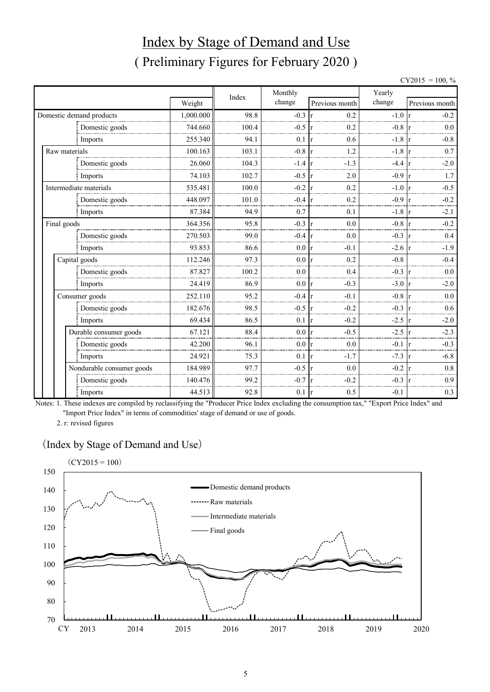# Index by Stage of Demand and Use ( Preliminary Figures for February 2020 )

 $CY2015 = 100, \%$ 

|                           |           |       | Monthly |                        | Yearly            |                |
|---------------------------|-----------|-------|---------|------------------------|-------------------|----------------|
|                           | Weight    | Index | change  | Previous month         | change            | Previous month |
| Domestic demand products  | 1,000.000 | 98.8  | $-0.3$  | 0.2<br>r               | $-1.0 \text{ r}$  | $-0.2$         |
| Domestic goods            | 744.660   | 100.4 | $-0.5$  | 0.2                    | $-0.8$            | 0.0            |
| Imports                   | 255.340   | 94.1  | 0.1     | 0.6                    | $-1.8 \text{ r}$  | $-0.8$         |
| Raw materials             | 100.163   | 103.1 | $-0.8$  | 1.2                    | $-1.8$            | 0.7            |
| Domestic goods            | 26.060    | 104.3 | $-1.4$  | $-1.3$                 | $-4.4$            | $-2.0$         |
| Imports                   | 74.103    | 102.7 | $-0.5$  | 2.0                    | $-0.9 r$          | 1.7            |
| Intermediate materials    | 535.481   | 100.0 | $-0.2$  | 0.2                    | $-1.0 \text{ r}$  | $-0.5$         |
| Domestic goods            | 448.097   | 101.0 | $-0.4$  | 0.2                    | $-0.9$            | $-0.2$         |
| Imports                   | 87.384    | 94.9  | 0.7     | 0.1                    | $-1.8$            | $-2.1$         |
| Final goods               | 364.356   | 95.8  | $-0.3$  | 0.0                    | $-0.8 \text{ r}$  | $-0.2$         |
| Domestic goods            | 270.503   | 99.0  | $-0.4$  | 0.0                    | $-0.3 \text{ r}$  | 0.4            |
| Imports                   | 93.853    | 86.6  | 0.0     | $-0.1$<br>$\mathbf{r}$ | $-2.6 \text{ r}$  | $-1.9$         |
| Capital goods             | 112.246   | 97.3  | 0.0     | 0.2                    | $-0.8$            | $-0.4$         |
| Domestic goods            | 87.827    | 100.2 | 0.0     | 0.4                    | $-0.3$            | 0.0            |
| Imports                   | 24.419    | 86.9  | 0.0     | $-0.3$<br>r            | $-3.0 \text{ r}$  | $-2.0$         |
| Consumer goods            | 252.110   | 95.2  | $-0.4$  | $-0.1$                 | $-0.8 \text{ r}$  | 0.0            |
| Domestic goods            | 182.676   | 98.5  | $-0.5$  | $-0.2$                 | $-0.3$ r          | 0.6            |
| Imports                   | 69.434    | 86.5  | 0.1     | $-0.2$<br>$\mathbf{r}$ | $-2.5 \text{ r}$  | $-2.0$         |
| Durable consumer goods    | 67.121    | 88.4  | 0.0     | $-0.5$                 | $-2.5 \text{ tr}$ | $-2.3$         |
| Domestic goods            | 42.200    | 96.1  | 0.0     | 0.0                    | $-0.1 \text{ r}$  | $-0.3$         |
| Imports                   | 24.921    | 75.3  | 0.1     | $-1.7$<br>r            | $-7.3 \text{ r}$  | $-6.8$         |
| Nondurable consumer goods | 184.989   | 97.7  | $-0.5$  | 0.0                    | $-0.2$            | 0.8            |
| Domestic goods            | 140.476   | 99.2  | $-0.7$  | $-0.2$                 | $-0.3$            | 0.9            |
| Imports                   | 44.513    | 92.8  | 0.1     | 0.5<br>r               | $-0.1$            | 0.3            |

Notes: 1. These indexes are compiled by reclassifying the "Producer Price Index excluding the consumption tax," "Export Price Index" and "Import Price Index" in terms of commodities' stage of demand or use of goods.

2. r: revised figures

#### (Index by Stage of Demand and Use)

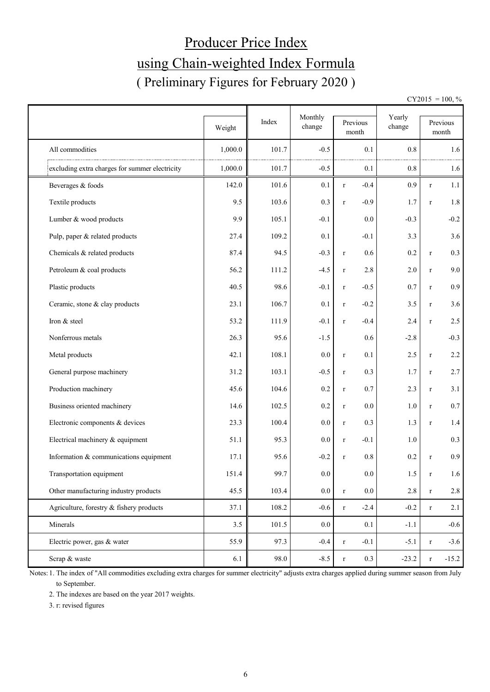# Producer Price Index using Chain-weighted Index Formula ( Preliminary Figures for February 2020 )

 $CY2015 = 100, \%$ 

|                                                | Weight  | Index | Monthly<br>change | Previous<br>month      | Yearly<br>change |              | Previous<br>month |
|------------------------------------------------|---------|-------|-------------------|------------------------|------------------|--------------|-------------------|
| All commodities                                | 1,000.0 | 101.7 | $-0.5$            | 0.1                    | 0.8              |              | 1.6               |
| excluding extra charges for summer electricity | 1,000.0 | 101.7 | $-0.5$            | 0.1                    | 0.8              |              | 1.6               |
| Beverages & foods                              | 142.0   | 101.6 | 0.1               | $-0.4$<br>$\mathbf r$  | 0.9              | $\mathbf r$  | 1.1               |
| Textile products                               | 9.5     | 103.6 | 0.3               | $-0.9$<br>$\bf r$      | 1.7              | $\mathbf{r}$ | $1.8\,$           |
| Lumber & wood products                         | 9.9     | 105.1 | $-0.1$            | 0.0                    | $-0.3$           |              | $-0.2$            |
| Pulp, paper & related products                 | 27.4    | 109.2 | 0.1               | $-0.1$                 | 3.3              |              | 3.6               |
| Chemicals & related products                   | 87.4    | 94.5  | $-0.3$            | 0.6<br>$\mathbf r$     | 0.2              | $\bf r$      | 0.3               |
| Petroleum & coal products                      | 56.2    | 111.2 | $-4.5$            | 2.8<br>$\mathbf r$     | 2.0              | $\bf r$      | 9.0               |
| Plastic products                               | 40.5    | 98.6  | $-0.1$            | $-0.5$<br>$\bf r$      | 0.7              | $\bf r$      | 0.9               |
| Ceramic, stone & clay products                 | 23.1    | 106.7 | 0.1               | $-0.2$<br>$\mathbf r$  | 3.5              | $\bf r$      | 3.6               |
| Iron & steel                                   | 53.2    | 111.9 | $-0.1$            | $-0.4$<br>$\mathbf r$  | 2.4              | $\bf r$      | 2.5               |
| Nonferrous metals                              | 26.3    | 95.6  | $-1.5$            | 0.6                    | $-2.8$           |              | $-0.3$            |
| Metal products                                 | 42.1    | 108.1 | 0.0               | 0.1<br>$\mathbf r$     | 2.5              | $\bf r$      | 2.2               |
| General purpose machinery                      | 31.2    | 103.1 | $-0.5$            | 0.3<br>$\mathbf r$     | 1.7              | $\bf r$      | 2.7               |
| Production machinery                           | 45.6    | 104.6 | 0.2               | 0.7<br>$\mathbf r$     | 2.3              | $\bf r$      | 3.1               |
| Business oriented machinery                    | 14.6    | 102.5 | 0.2               | 0.0<br>$\bf r$         | 1.0              | $\bf r$      | $0.7\,$           |
| Electronic components & devices                | 23.3    | 100.4 | 0.0               | 0.3<br>$\bf r$         | 1.3              | $\bf r$      | 1.4               |
| Electrical machinery & equipment               | 51.1    | 95.3  | 0.0               | $-0.1$<br>$\mathbf r$  | 1.0              |              | 0.3               |
| Information & communications equipment         | 17.1    | 95.6  | $-0.2$            | 0.8<br>$\mathbf r$     | 0.2              | $\mathbf{r}$ | 0.9               |
| Transportation equipment                       | 151.4   | 99.7  | $0.0\,$           | $0.0\,$                | 1.5              | $\bf r$      | 1.6               |
| Other manufacturing industry products          | 45.5    | 103.4 | $0.0\,$           | $0.0\,$<br>$\mathbf r$ | $2.8\,$          | $\bf r$      | $2.8\,$           |
| Agriculture, forestry & fishery products       | 37.1    | 108.2 | $-0.6$            | $-2.4$<br>$\mathbf r$  | $-0.2$           | $\mathbf r$  | 2.1               |
| Minerals                                       | 3.5     | 101.5 | $0.0\,$           | 0.1                    | $-1.1$           |              | $-0.6$            |
| Electric power, gas & water                    | 55.9    | 97.3  | $-0.4$            | $-0.1$<br>$\mathbf r$  | $-5.1$           | $\bf r$      | $-3.6$            |
| Scrap & waste                                  | 6.1     | 98.0  | $-8.5$            | 0.3<br>$\mathbf r$     | $-23.2$          | $\bf r$      | $-15.2$           |

Notes: 1. The index of "All commodities excluding extra charges for summer electricity" adjusts extra charges applied during summer season from July to September.

2. The indexes are based on the year 2017 weights.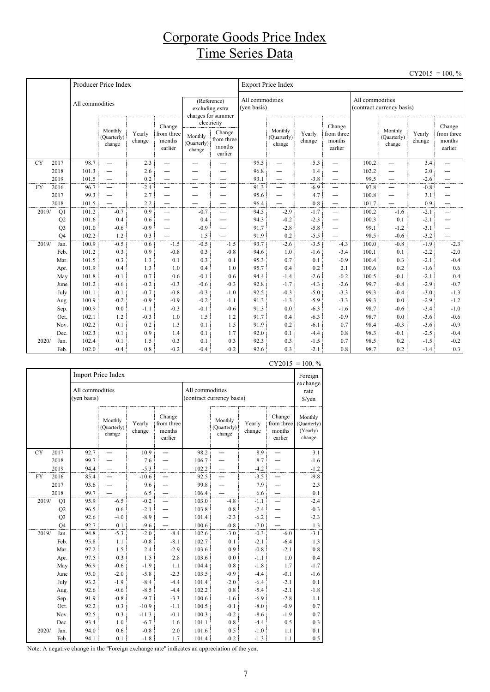### Corporate Goods Price Index Time Series Data

|           |                |                 |                                  |                  |                                           |                                           |                                                          |                                |                                    |                  |                                                      |                                              |                                  |                  | $CY2015 = 100, \%$                        |
|-----------|----------------|-----------------|----------------------------------|------------------|-------------------------------------------|-------------------------------------------|----------------------------------------------------------|--------------------------------|------------------------------------|------------------|------------------------------------------------------|----------------------------------------------|----------------------------------|------------------|-------------------------------------------|
|           |                |                 | Producer Price Index             |                  |                                           |                                           |                                                          |                                | <b>Export Price Index</b>          |                  |                                                      |                                              |                                  |                  |                                           |
|           |                | All commodities |                                  |                  |                                           |                                           | (Reference)<br>excluding extra<br>charges for summer     | All commodities<br>(yen basis) |                                    |                  |                                                      | All commodities<br>(contract currency basis) |                                  |                  |                                           |
|           |                |                 | Monthly<br>(Quarterly)<br>change | Yearly<br>change | Change<br>from three<br>months<br>earlier | Monthly<br>(Quarterly)<br>$_{\rm change}$ | electricity<br>Change<br>from three<br>months<br>earlier |                                | Monthly<br>(Quarterly)<br>change   | Yearly<br>change | Change<br>from three<br>months<br>earlier            |                                              | Monthly<br>(Quarterly)<br>change | Yearly<br>change | Change<br>from three<br>months<br>earlier |
| <b>CY</b> | 2017           | 98.7            | $\overline{\phantom{0}}$         | 2.3              | $\overline{\phantom{0}}$                  | $\overline{\phantom{0}}$                  |                                                          | 95.5                           | $\overline{\phantom{0}}$           | 5.3              | —                                                    | 100.2                                        | $\overline{\phantom{0}}$         | 3.4              |                                           |
|           | 2018           | 101.3           | $\overline{\phantom{0}}$         | 2.6              |                                           |                                           |                                                          | 96.8                           | $\overline{\phantom{0}}$           | 1.4              | —                                                    | 102.2                                        | $\overline{\phantom{0}}$         | 2.0              |                                           |
|           | 2019           | 101.5           | $\overline{\phantom{0}}$         | 0.2              |                                           |                                           |                                                          | 93.1                           | $\overline{\phantom{0}}$           | $-3.8$           | —                                                    | 99.5                                         | $\overline{\phantom{0}}$         | $-2.6$           | —                                         |
| <b>FY</b> | 2016           | 96.7            | $\overline{\phantom{0}}$         | $-2.4$           | —                                         | —                                         |                                                          | 91.3                           | $\overline{\phantom{0}}$           | $-6.9$           |                                                      | 97.8                                         | $\overline{\phantom{0}}$         | $-0.8$           | —                                         |
|           | 2017           | 99.3            | $\overline{\phantom{0}}$         | 2.7              | —                                         | -                                         |                                                          | 95.6                           | $\overline{\phantom{0}}$           | 4.7              | -                                                    | 100.8                                        | —                                | 3.1              | —                                         |
| 2019/     | 2018           | 101.5<br>101.2  | $-0.7$                           | 2.2<br>0.9       | $\overline{\phantom{0}}$                  | $-0.7$                                    | $\overline{\phantom{0}}$                                 | 96.4<br>94.5                   | $\overline{\phantom{0}}$<br>$-2.9$ | 0.8<br>$-1.7$    | $\overline{\phantom{0}}$<br>$\overline{\phantom{0}}$ | 101.7<br>100.2                               | —<br>$-1.6$                      | 0.9<br>$-2.1$    | —<br>$\overline{\phantom{0}}$             |
|           | Q1<br>Q2       | 101.6           | 0.4                              | 0.6              |                                           | 0.4                                       | $\overline{\phantom{0}}$                                 | 94.3                           | $-0.2$                             | $-2.3$           | —                                                    | 100.3                                        | 0.1                              | $-2.1$           | —                                         |
|           | Q <sub>3</sub> | 101.0           | $-0.6$                           | $-0.9$           | —                                         | $-0.9$                                    | $\overline{\phantom{0}}$                                 | 91.7                           | $-2.8$                             | $-5.8$           | —                                                    | 99.1                                         | $-1.2$                           | $-3.1$           |                                           |
|           | O <sub>4</sub> | 102.2           | 1.2                              | 0.3              |                                           | 1.5                                       |                                                          | 91.9                           | 0.2                                | $-5.5$           |                                                      | 98.5                                         | $-0.6$                           | $-3.2$           |                                           |
| 2019/     | Jan.           | 100.9           | $-0.5$                           | 0.6              | $-1.5$                                    | $-0.5$                                    | $-1.5$                                                   | 93.7                           | $-2.6$                             | $-3.5$           | $-4.3$                                               | 100.0                                        | $-0.8$                           | $-1.9$           | $-2.3$                                    |
|           | Feb.           | 101.2           | 0.3                              | 0.9              | $-0.8$                                    | 0.3                                       | $-0.8$                                                   | 94.6                           | 1.0                                | $-1.6$           | $-3.4$                                               | 100.1                                        | 0.1                              | $-2.2$           | $-2.0$                                    |
|           | Mar.           | 101.5           | 0.3                              | 1.3              | 0.1                                       | 0.3                                       | 0.1                                                      | 95.3                           | 0.7                                | 0.1              | $-0.9$                                               | 100.4                                        | 0.3                              | $-2.1$           | $-0.4$                                    |
|           | Apr.           | 101.9           | 0.4                              | 1.3              | 1.0                                       | 0.4                                       | 1.0                                                      | 95.7                           | 0.4                                | 0.2              | 2.1                                                  | 100.6                                        | 0.2                              | $-1.6$           | 0.6                                       |
|           | May            | 101.8           | $-0.1$                           | 0.7              | 0.6                                       | $-0.1$                                    | 0.6                                                      | 94.4                           | $-1.4$                             | $-2.6$           | $-0.2$                                               | 100.5                                        | $-0.1$                           | $-2.1$           | 0.4                                       |
|           | June           | 101.2           | $-0.6$                           | $-0.2$           | $-0.3$                                    | $-0.6$                                    | $-0.3$                                                   | 92.8                           | $-1.7$                             | $-4.3$           | $-2.6$                                               | 99.7                                         | $-0.8$                           | $-2.9$           | $-0.7$                                    |
|           | July           | 101.1           | $-0.1$                           | $-0.7$           | $-0.8$                                    | $-0.3$                                    | $-1.0$                                                   | 92.5                           | $-0.3$                             | $-5.0$           | $-3.3$                                               | 99.3                                         | $-0.4$                           | $-3.0$           | $-1.3$                                    |
|           | Aug.           | 100.9           | $-0.2$                           | $-0.9$           | $-0.9$                                    | $-0.2$                                    | $-1.1$                                                   | 91.3                           | $-1.3$                             | $-5.9$           | $-3.3$                                               | 99.3                                         | 0.0                              | $-2.9$           | $-1.2$                                    |
|           | Sep.           | 100.9           | 0.0                              | $-1.1$           | $-0.3$                                    | $-0.1$                                    | $-0.6$                                                   | 91.3                           | 0.0                                | $-6.3$           | $-1.6$                                               | 98.7                                         | $-0.6$                           | $-3.4$           | $-1.0$                                    |
|           | Oct.           | 102.1           | 1.2                              | $-0.3$           | 1.0                                       | 1.5                                       | 1.2                                                      | 91.7                           | 0.4                                | $-6.3$           | $-0.9$                                               | 98.7                                         | 0.0                              | $-3.6$           | $-0.6$                                    |
|           | Nov.           | 102.2           | 0.1                              | 0.2              | 1.3                                       | 0.1                                       | 1.5                                                      | 91.9                           | 0.2                                | $-6.1$           | 0.7                                                  | 98.4                                         | $-0.3$                           | $-3.6$           | $-0.9$                                    |
|           | Dec.           | 102.3           | 0.1                              | 0.9              | 1.4                                       | 0.1                                       | 1.7                                                      | 92.0                           | 0.1                                | $-4.4$           | 0.8                                                  | 98.3                                         | $-0.1$                           | $-2.5$           | $-0.4$                                    |
| 2020/     | Jan.           | 102.4           | 0.1                              | 1.5              | 0.3                                       | 0.1                                       | 0.3                                                      | 92.3                           | 0.3                                | $-1.5$           | 0.7                                                  | 98.5                                         | 0.2                              | $-1.5$           | $-0.2$                                    |
|           | Feb.           | 102.0           | $-0.4$                           | 0.8              | $-0.2$                                    | $-0.4$                                    | $-0.2$                                                   | 92.6                           | 0.3                                | $-2.1$           | 0.8                                                  | 98.7                                         | 0.2                              | $-1.4$           | 0.3                                       |

|           |                |                                | Import Price Index               |                  |                                           |                 |                                  |                  |                                           | Foreign                                      |
|-----------|----------------|--------------------------------|----------------------------------|------------------|-------------------------------------------|-----------------|----------------------------------|------------------|-------------------------------------------|----------------------------------------------|
|           |                | All commodities<br>(yen basis) |                                  |                  |                                           | All commodities | (contract currency basis)        |                  |                                           | exchange<br>rate<br>$\sqrt{\frac{2}{\pi}}$   |
|           |                |                                | Monthly<br>(Quarterly)<br>change | Yearly<br>change | Change<br>from three<br>months<br>earlier |                 | Monthly<br>(Quarterly)<br>change | Yearly<br>change | Change<br>from three<br>months<br>earlier | Monthly<br>(Quarterly)<br>(Yearly)<br>change |
| <b>CY</b> | 2017           | 92.7                           |                                  | 10.9             |                                           | 98.2            |                                  | 8.9              |                                           | 3.1                                          |
|           | 2018           | 99.7                           |                                  | 7.6              |                                           | 106.7           |                                  | 8.7              |                                           | $-1.6$                                       |
|           | 2019           | 94.4                           |                                  | $-5.3$           |                                           | 102.2           |                                  | $-4.2$           |                                           | $-1.2$                                       |
| FY        | 2016           | 85.4                           |                                  | $-10.6$          |                                           | 92.5            |                                  | $-3.5$           |                                           | $-9.8$                                       |
|           | 2017           | 93.6                           |                                  | 9.6              |                                           | 99.8            |                                  | 7.9              |                                           | 2.3                                          |
|           | 2018           | 99.7                           |                                  | 6.5              |                                           | 106.4           |                                  | 6.6              |                                           | 0.1                                          |
| 2019/     | Q1             | 95.9                           | $-6.5$                           | $-0.2$           |                                           | 103.0           | $-4.8$                           | $-1.1$           |                                           | $-2.4$                                       |
|           | Q2             | 96.5                           | 0.6                              | $-2.1$           |                                           | 103.8           | 0.8                              | $-2.4$           |                                           | $-0.3$                                       |
|           | Q <sub>3</sub> | 92.6                           | $-4.0$                           | $-8.9$           |                                           | 101.4           | $-2.3$                           | $-6.2$           |                                           | $-2.3$                                       |
|           | Q <sub>4</sub> | 92.7                           | 0.1                              | $-9.6$           |                                           | 100.6           | $-0.8$                           | $-7.0$           |                                           | 1.3                                          |
| 2019/     | Jan.           | 94.8                           | $-5.3$                           | $-2.0$           | $-8.4$                                    | 102.6           | $-3.0$                           | $-0.3$           | $-6.0$                                    | $-3.1$                                       |
|           | Feb.           | 95.8                           | 1.1                              | $\mbox{-}0.8$    | $-8.1$                                    | 102.7           | 0.1                              | $-2.1$           | $-6.4$                                    | 1.3                                          |
|           | Mar.           | 97.2                           | 1.5                              | 2.4              | $-2.9$                                    | 103.6           | 0.9                              | $-0.8$           | $-2.1$                                    | 0.8                                          |
|           | Apr.           | 97.5                           | 0.3                              | 1.5              | 2.8                                       | 103.6           | 0.0                              | $-1.1$           | 1.0                                       | 0.4                                          |
|           | May            | 96.9                           | $-0.6$                           | $-1.9$           | 1.1                                       | 104.4           | 0.8                              | $-1.8$           | 1.7                                       | $-1.7$                                       |
|           | June           | 95.0                           | $-2.0$                           | $-5.8$           | $-2.3$                                    | 103.5           | $-0.9$                           | $-4.4$           | $-0.1$                                    | $-1.6$                                       |
|           | July           | 93.2                           | $-1.9$                           | $-8.4$           | $-4.4$                                    | 101.4           | $-2.0$                           | $-6.4$           | $-2.1$                                    | 0.1                                          |
|           | Aug.           | 92.6                           | $-0.6$                           | $-8.5$           | $-4.4$                                    | 102.2           | 0.8                              | $-5.4$           | $-2.1$                                    | $-1.8$                                       |
|           | Sep.           | 91.9                           | $-0.8$                           | $-9.7$           | $-3.3$                                    | 100.6           | $-1.6$                           | $-6.9$           | $-2.8$                                    | 1.1                                          |
|           | Oct.           | 92.2                           | 0.3                              | $-10.9$          | $-1.1$                                    | 100.5           | $-0.1$                           | $-8.0$           | $-0.9$                                    | 0.7                                          |
|           | Nov.           | 92.5                           | 0.3                              | $-11.3$          | $-0.1$                                    | 100.3           | $-0.2$                           | $-8.6$           | $-1.9$                                    | 0.7                                          |
|           | Dec.           | 93.4                           | 1.0                              | $-6.7$           | 1.6                                       | 101.1           | 0.8                              | $-4.4$           | 0.5                                       | 0.3                                          |
| 2020/     | Jan.           | 94.0                           | 0.6                              | $-0.8$           | 2.0                                       | 101.6           | 0.5                              | $-1.0$           | 1.1                                       | 0.1                                          |
|           | Feb.           | 94.1                           | 0.1                              | $-1.8$           | 1.7                                       | 101.4           | $-0.2$                           | $-1.3$           | 1.1                                       | 0.5                                          |

 $CY2015 = 100, %$ 

Note: A negative change in the "Foreign exchange rate" indicates an appreciation of the yen.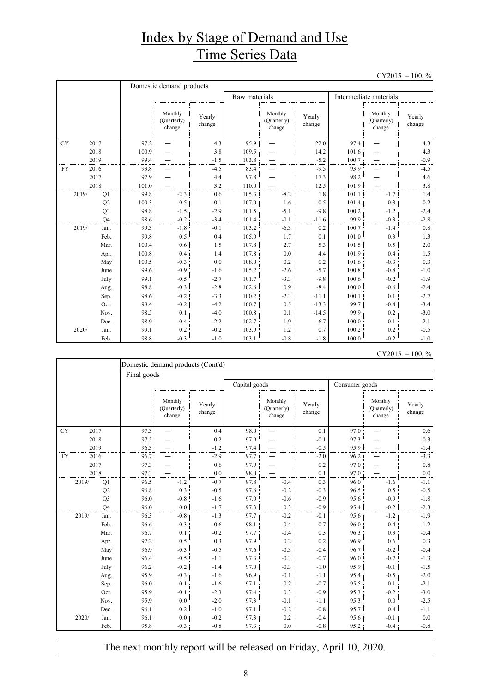## Index by Stage of Demand and Use Time Series Data

 $CY2015 = 100, \%$ 

|           |                | Domestic demand products |                                  |                  |               |                                  |                  |                        |                                  |                  |  |  |
|-----------|----------------|--------------------------|----------------------------------|------------------|---------------|----------------------------------|------------------|------------------------|----------------------------------|------------------|--|--|
|           |                |                          |                                  |                  | Raw materials |                                  |                  | Intermediate materials |                                  |                  |  |  |
|           |                |                          | Monthly<br>(Quarterly)<br>change | Yearly<br>change |               | Monthly<br>(Quarterly)<br>change | Yearly<br>change |                        | Monthly<br>(Quarterly)<br>change | Yearly<br>change |  |  |
| <b>CY</b> | 2017           | 97.2                     |                                  | 4.3              | 95.9          |                                  | 22.0             | 97.4                   |                                  | 4.3              |  |  |
|           | 2018           | 100.9                    |                                  | 3.8              | 109.5         |                                  | 14.2             | 101.6                  |                                  | 4.3              |  |  |
|           | 2019           | 99.4                     |                                  | $-1.5$           | 103.8         |                                  | $-5.2$           | 100.7                  |                                  | $-0.9$           |  |  |
| <b>FY</b> | 2016           | 93.8                     |                                  | $-4.5$           | 83.4          |                                  | $-9.5$           | 93.9                   |                                  | $-4.5$           |  |  |
|           | 2017           | 97.9                     |                                  | 4.4              | 97.8          |                                  | 17.3             | 98.2                   |                                  | 4.6              |  |  |
|           | 2018           | 101.0                    |                                  | 3.2              | 110.0         |                                  | 12.5             | 101.9                  |                                  | 3.8              |  |  |
| 2019/     | Q1             | 99.8                     | $-2.3$                           | 0.6              | 105.3         | $-8.2$                           | 1.8              | 101.1                  | $-1.7$                           | 1.4              |  |  |
|           | Q2             | 100.3                    | 0.5                              | $-0.1$           | 107.0         | 1.6                              | $-0.5$           | 101.4                  | 0.3                              | 0.2              |  |  |
|           | Q <sub>3</sub> | 98.8                     | $-1.5$                           | $-2.9$           | 101.5         | $-5.1$                           | $-9.8$           | 100.2                  | $-1.2$                           | $-2.4$           |  |  |
|           | Q <sub>4</sub> | 98.6                     | $-0.2$                           | $-3.4$           | 101.4         | $-0.1$                           | $-11.6$          | 99.9                   | $-0.3$                           | $-2.8$           |  |  |
| 2019/     | Jan.           | 99.3                     | $-1.8$                           | $-0.1$           | 103.2         | $-6.3$                           | 0.2              | 100.7                  | $-1.4$                           | 0.8              |  |  |
|           | Feb.           | 99.8                     | 0.5                              | 0.4              | 105.0         | 1.7                              | 0.1              | 101.0                  | 0.3                              | 1.3              |  |  |
|           | Mar.           | 100.4                    | 0.6                              | 1.5              | 107.8         | 2.7                              | 5.3              | 101.5                  | 0.5                              | 2.0              |  |  |
|           | Apr.           | 100.8                    | 0.4                              | 1.4              | 107.8         | $0.0\,$                          | 4.4              | 101.9                  | 0.4                              | 1.5              |  |  |
|           | May            | 100.5                    | $-0.3$                           | 0.0              | 108.0         | 0.2                              | 0.2              | 101.6                  | $-0.3$                           | 0.3              |  |  |
|           | June           | 99.6                     | $-0.9$                           | $-1.6$           | 105.2         | $-2.6$                           | $-5.7$           | 100.8                  | $-0.8$                           | $-1.0$           |  |  |
|           | July           | 99.1                     | $-0.5$                           | $-2.7$           | 101.7         | $-3.3$                           | $-9.8$           | 100.6                  | $-0.2$                           | $-1.9$           |  |  |
|           | Aug.           | 98.8                     | $-0.3$                           | $-2.8$           | 102.6         | 0.9                              | $-8.4$           | 100.0                  | $-0.6$                           | $-2.4$           |  |  |
|           | Sep.           | 98.6                     | $-0.2$                           | $-3.3$           | 100.2         | $-2.3$                           | $-11.1$          | 100.1                  | 0.1                              | $-2.7$           |  |  |
|           | Oct.           | 98.4                     | $-0.2$                           | $-4.2$           | 100.7         | 0.5                              | $-13.3$          | 99.7                   | $-0.4$                           | $-3.4$           |  |  |
|           | Nov.           | 98.5                     | 0.1                              | $-4.0$           | 100.8         | 0.1                              | $-14.5$          | 99.9                   | 0.2                              | $-3.0$           |  |  |
|           | Dec.           | 98.9                     | 0.4                              | $-2.2$           | 102.7         | 1.9                              | $-6.7$           | 100.0                  | 0.1                              | $-2.1$           |  |  |
| 2020/     | Jan.           | 99.1                     | 0.2                              | $-0.2$           | 103.9         | 1.2                              | 0.7              | 100.2                  | 0.2                              | $-0.5$           |  |  |
|           | Feb.           | 98.8                     | $-0.3$                           | $-1.0$           | 103.1         | $-0.8$                           | $-1.8$           | 100.0                  | $-0.2$                           | $-1.0$           |  |  |

| $CY2015 = 100, \%$ |  |
|--------------------|--|
|                    |  |
|                    |  |

| Domestic demand products (Cont'd) |       |                |             |                                  |                  |               |                                  |                  |                |                                  |                  |  |  |
|-----------------------------------|-------|----------------|-------------|----------------------------------|------------------|---------------|----------------------------------|------------------|----------------|----------------------------------|------------------|--|--|
|                                   |       |                | Final goods |                                  |                  |               |                                  |                  |                |                                  |                  |  |  |
|                                   |       |                |             |                                  |                  | Capital goods |                                  |                  | Consumer goods |                                  |                  |  |  |
|                                   |       |                |             | Monthly<br>(Quarterly)<br>change | Yearly<br>change |               | Monthly<br>(Quarterly)<br>change | Yearly<br>change |                | Monthly<br>(Quarterly)<br>change | Yearly<br>change |  |  |
| <b>CY</b>                         | 2017  |                | 97.3        |                                  | 0.4              | 98.0          |                                  | 0.1              | 97.0           |                                  | 0.6              |  |  |
|                                   | 2018  |                | 97.5        |                                  | 0.2              | 97.9          |                                  | $-0.1$           | 97.3           |                                  | 0.3              |  |  |
|                                   | 2019  |                | 96.3        |                                  | $-1.2$           | 97.4          |                                  | $-0.5$           | 95.9           |                                  | $-1.4$           |  |  |
| <b>FY</b>                         | 2016  |                | 96.7        |                                  | $-2.9$           | 97.7          |                                  | $-2.0$           | 96.2           |                                  | $-3.3$           |  |  |
|                                   | 2017  |                | 97.3        |                                  | 0.6              | 97.9          |                                  | 0.2              | 97.0           |                                  | 0.8              |  |  |
|                                   | 2018  |                | 97.3        |                                  | 0.0              | 98.0          |                                  | 0.1              | 97.0           |                                  | 0.0              |  |  |
|                                   | 2019/ | Q1             | 96.5        | $-1.2$                           | $-0.7$           | 97.8          | $-0.4$                           | 0.3              | 96.0           | $-1.6$                           | $-1.1$           |  |  |
|                                   |       | Q2             | 96.8        | 0.3                              | $-0.5$           | 97.6          | $-0.2$                           | $-0.3$           | 96.5           | 0.5                              | $-0.5$           |  |  |
|                                   |       | Q <sub>3</sub> | 96.0        | $-0.8$                           | $-1.6$           | 97.0          | $-0.6$                           | $-0.9$           | 95.6           | $-0.9$                           | $-1.8$           |  |  |
|                                   |       | O <sub>4</sub> | 96.0        | 0.0                              | $-1.7$           | 97.3          | 0.3                              | $-0.9$           | 95.4           | $-0.2$                           | $-2.3$           |  |  |
|                                   | 2019/ | Jan.           | 96.3        | $-0.8$                           | $-1.3$           | 97.7          | $-0.2$                           | $-0.1$           | 95.6           | $-1.2$                           | $-1.9$           |  |  |
|                                   |       | Feb.           | 96.6        | 0.3                              | $-0.6$           | 98.1          | 0.4                              | 0.7              | 96.0           | 0.4                              | $-1.2$           |  |  |
|                                   |       | Mar.           | 96.7        | 0.1                              | $-0.2$           | 97.7          | $-0.4$                           | 0.3              | 96.3           | 0.3                              | $-0.4$           |  |  |
|                                   |       | Apr.           | 97.2        | 0.5                              | 0.3              | 97.9          | 0.2                              | 0.2              | 96.9           | 0.6                              | 0.3              |  |  |
|                                   |       | May            | 96.9        | $-0.3$                           | $-0.5$           | 97.6          | $-0.3$                           | $-0.4$           | 96.7           | $-0.2$                           | $-0.4$           |  |  |
|                                   |       | June           | 96.4        | $-0.5$                           | $-1.1$           | 97.3          | $-0.3$                           | $-0.7$           | 96.0           | $-0.7$                           | $-1.3$           |  |  |
|                                   |       | July           | 96.2        | $-0.2$                           | $-1.4$           | 97.0          | $-0.3$                           | $-1.0$           | 95.9           | $-0.1$                           | $-1.5$           |  |  |
|                                   |       | Aug.           | 95.9        | $-0.3$                           | $-1.6$           | 96.9          | $-0.1$                           | $-1.1$           | 95.4           | $-0.5$                           | $-2.0$           |  |  |
|                                   |       | Sep.           | 96.0        | 0.1                              | $-1.6$           | 97.1          | 0.2                              | $-0.7$           | 95.5           | 0.1                              | $-2.1$           |  |  |
|                                   |       | Oct.           | 95.9        | $-0.1$                           | $-2.3$           | 97.4          | 0.3                              | $-0.9$           | 95.3           | $-0.2$                           | $-3.0$           |  |  |
|                                   |       | Nov.           | 95.9        | 0.0                              | $-2.0$           | 97.3          | $-0.1$                           | $-1.1$           | 95.3           | 0.0                              | $-2.5$           |  |  |
|                                   |       | Dec.           | 96.1        | 0.2                              | $-1.0$           | 97.1          | $-0.2$                           | $-0.8$           | 95.7           | 0.4                              | $-1.1$           |  |  |
|                                   | 2020/ | Jan.           | 96.1        | 0.0                              | $-0.2$           | 97.3          | 0.2                              | $-0.4$           | 95.6           | $-0.1$                           | 0.0              |  |  |
|                                   |       | Feb.           | 95.8        | $-0.3$                           | $-0.8$           | 97.3          | 0.0                              | $-0.8$           | 95.2           | $-0.4$                           | $-0.8$           |  |  |

The next monthly report will be released on Friday, April 10, 2020.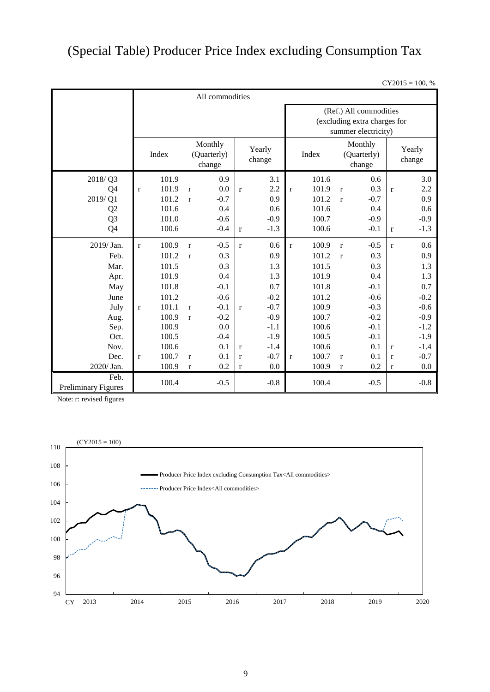## (Special Table) Producer Price Index excluding Consumption Tax

 $CY2015 = 100, %$ 

|                                             | All commodities       |  |                                                      |        |              |        |                                                                               |                                  |              |                  |              |        |
|---------------------------------------------|-----------------------|--|------------------------------------------------------|--------|--------------|--------|-------------------------------------------------------------------------------|----------------------------------|--------------|------------------|--------------|--------|
|                                             |                       |  |                                                      |        |              |        | (Ref.) All commodities<br>(excluding extra charges for<br>summer electricity) |                                  |              |                  |              |        |
|                                             | Index                 |  | Monthly<br>Yearly<br>(Quarterly)<br>change<br>change |        |              | Index  |                                                                               | Monthly<br>(Quarterly)<br>change |              | Yearly<br>change |              |        |
| 2018/Q3                                     | 101.9                 |  |                                                      | 0.9    |              | 3.1    |                                                                               | 101.6                            |              | 0.6              |              | 3.0    |
| Q4                                          | 101.9<br>$\mathbf r$  |  | $\mathbf{r}$                                         | 0.0    | $\mathbf{r}$ | 2.2    | $\mathbf{r}$                                                                  | 101.9                            | $\mathbf r$  | 0.3              | $\mathbf{r}$ | 2.2    |
| 2019/Q1                                     | 101.2                 |  | $\mathbf{r}$                                         | $-0.7$ |              | 0.9    |                                                                               | 101.2                            | $\mathbf{r}$ | $-0.7$           |              | 0.9    |
| Q2                                          | 101.6                 |  |                                                      | 0.4    |              | 0.6    |                                                                               | 101.6                            |              | 0.4              |              | 0.6    |
| Q <sub>3</sub>                              | 101.0                 |  |                                                      | $-0.6$ |              | $-0.9$ |                                                                               | 100.7                            |              | $-0.9$           |              | $-0.9$ |
| Q4                                          | 100.6                 |  |                                                      | $-0.4$ | $\mathbf{r}$ | $-1.3$ |                                                                               | 100.6                            |              | $-0.1$           | r            | $-1.3$ |
| 2019/Jan.                                   | 100.9<br>$\mathbf{r}$ |  | $\mathbf{r}$                                         | $-0.5$ | $\mathbf{r}$ | 0.6    | $\mathbf{r}$                                                                  | 100.9                            | $\bf r$      | $-0.5$           | $\mathbf r$  | 0.6    |
| Feb.                                        | 101.2                 |  | $\mathbf{r}$                                         | 0.3    |              | 0.9    |                                                                               | 101.2                            | $\mathbf{r}$ | 0.3              |              | 0.9    |
| Mar.                                        | 101.5                 |  |                                                      | 0.3    |              | 1.3    |                                                                               | 101.5                            |              | 0.3              |              | 1.3    |
| Apr.                                        | 101.9                 |  |                                                      | 0.4    |              | 1.3    |                                                                               | 101.9                            |              | 0.4              |              | 1.3    |
| May                                         | 101.8                 |  |                                                      | $-0.1$ |              | 0.7    |                                                                               | 101.8                            |              | $-0.1$           |              | 0.7    |
| June                                        | 101.2                 |  |                                                      | $-0.6$ |              | $-0.2$ |                                                                               | 101.2                            |              | $-0.6$           |              | $-0.2$ |
| July                                        | 101.1<br>$\bf r$      |  | $\mathbf{r}$                                         | $-0.1$ | $\mathbf{r}$ | $-0.7$ |                                                                               | 100.9                            |              | $-0.3$           |              | $-0.6$ |
| Aug.                                        | 100.9                 |  | $\mathbf{r}$                                         | $-0.2$ |              | $-0.9$ |                                                                               | 100.7                            |              | $-0.2$           |              | $-0.9$ |
| Sep.                                        | 100.9                 |  |                                                      | 0.0    |              | $-1.1$ |                                                                               | 100.6                            |              | $-0.1$           |              | $-1.2$ |
| Oct.                                        | 100.5                 |  |                                                      | $-0.4$ |              | $-1.9$ |                                                                               | 100.5                            |              | $-0.1$           |              | $-1.9$ |
| Nov.                                        | 100.6                 |  |                                                      | 0.1    | $\mathbf{r}$ | $-1.4$ |                                                                               | 100.6                            |              | 0.1              | $\mathbf{r}$ | $-1.4$ |
| Dec.                                        | 100.7<br>$\mathbf{r}$ |  | $\mathbf r$                                          | 0.1    | $\mathbf r$  | $-0.7$ | $\bf r$                                                                       | 100.7                            | $\mathbf r$  | 0.1              | $\mathbf r$  | $-0.7$ |
| 2020/ Jan.                                  | 100.9                 |  | $\mathbf{r}$                                         | 0.2    | $\mathbf{r}$ | 0.0    |                                                                               | 100.9                            | $\mathbf r$  | 0.2              | $\mathbf r$  | 0.0    |
| Feb.<br>100.4<br><b>Preliminary Figures</b> |                       |  |                                                      | $-0.5$ |              | $-0.8$ |                                                                               | 100.4                            |              | $-0.5$           |              | $-0.8$ |

Note: r: revised figures